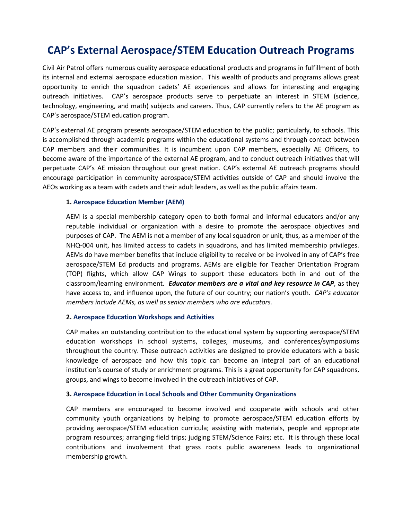## **CAP's External Aerospace/STEM Education Outreach Programs**

Civil Air Patrol offers numerous quality aerospace educational products and programs in fulfillment of both its internal and external aerospace education mission. This wealth of products and programs allows great opportunity to enrich the squadron cadets' AE experiences and allows for interesting and engaging outreach initiatives. CAP's aerospace products serve to perpetuate an interest in STEM (science, technology, engineering, and math) subjects and careers. Thus, CAP currently refers to the AE program as CAP's aerospace/STEM education program.

CAP's external AE program presents aerospace/STEM education to the public; particularly, to schools. This is accomplished through academic programs within the educational systems and through contact between CAP members and their communities. It is incumbent upon CAP members, especially AE Officers, to become aware of the importance of the external AE program, and to conduct outreach initiatives that will perpetuate CAP's AE mission throughout our great nation. CAP's external AE outreach programs should encourage participation in community aerospace/STEM activities outside of CAP and should involve the AEOs working as a team with cadets and their adult leaders, as well as the public affairs team.

#### **1. Aerospace Education Member (AEM)**

AEM is a special membership category open to both formal and informal educators and/or any reputable individual or organization with a desire to promote the aerospace objectives and purposes of CAP. The AEM is not a member of any local squadron or unit, thus, as a member of the NHQ-004 unit, has limited access to cadets in squadrons, and has limited membership privileges. AEMs do have member benefits that include eligibility to receive or be involved in any of CAP's free aerospace/STEM Ed products and programs. AEMs are eligible for Teacher Orientation Program (TOP) flights, which allow CAP Wings to support these educators both in and out of the classroom/learning environment. *Educator members are a vital and key resource in CAP*, as they have access to, and influence upon, the future of our country; our nation's youth. *CAP's educator members include AEMs, as well as senior members who are educators.*

#### **2. Aerospace Education Workshops and Activities**

CAP makes an outstanding contribution to the educational system by supporting aerospace/STEM education workshops in school systems, colleges, museums, and conferences/symposiums throughout the country. These outreach activities are designed to provide educators with a basic knowledge of aerospace and how this topic can become an integral part of an educational institution's course of study or enrichment programs. This is a great opportunity for CAP squadrons, groups, and wings to become involved in the outreach initiatives of CAP.

#### **3. Aerospace Education in Local Schools and Other Community Organizations**

CAP members are encouraged to become involved and cooperate with schools and other community youth organizations by helping to promote aerospace/STEM education efforts by providing aerospace/STEM education curricula; assisting with materials, people and appropriate program resources; arranging field trips; judging STEM/Science Fairs; etc. It is through these local contributions and involvement that grass roots public awareness leads to organizational membership growth.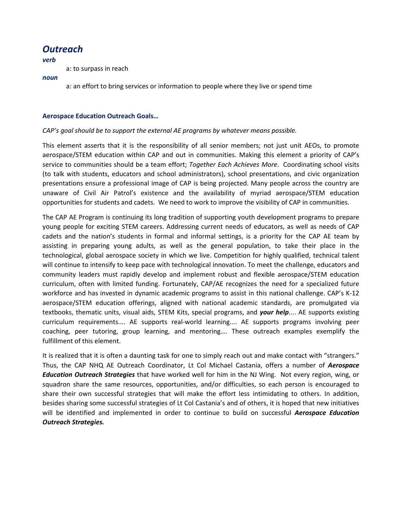### *Outreach*

*verb*

a: to surpass in reach

*noun*

a: an effort to bring services or information to people where they live or spend time

#### **Aerospace Education Outreach Goals…**

#### *CAP's goal should be to support the external AE programs by whatever means possible.*

This element asserts that it is the responsibility of all senior members; not just unit AEOs, to promote aerospace/STEM education within CAP and out in communities. Making this element a priority of CAP's service to communities should be a team effort; *Together Each Achieves More*. Coordinating school visits (to talk with students, educators and school administrators), school presentations, and civic organization presentations ensure a professional image of CAP is being projected. Many people across the country are unaware of Civil Air Patrol's existence and the availability of myriad aerospace/STEM education opportunities for students and cadets. We need to work to improve the visibility of CAP in communities.

The CAP AE Program is continuing its long tradition of supporting youth development programs to prepare young people for exciting STEM careers. Addressing current needs of educators, as well as needs of CAP cadets and the nation's students in formal and informal settings, is a priority for the CAP AE team by assisting in preparing young adults, as well as the general population, to take their place in the technological, global aerospace society in which we live. Competition for highly qualified, technical talent will continue to intensify to keep pace with technological innovation. To meet the challenge, educators and community leaders must rapidly develop and implement robust and flexible aerospace/STEM education curriculum, often with limited funding. Fortunately, CAP/AE recognizes the need for a specialized future workforce and has invested in dynamic academic programs to assist in this national challenge. CAP's K-12 aerospace/STEM education offerings, aligned with national academic standards, are promulgated via textbooks, thematic units, visual aids, STEM Kits, special programs, and *your help*.... AE supports existing curriculum requirements.... AE supports real-world learning.... AE supports programs involving peer coaching, peer tutoring, group learning, and mentoring…. These outreach examples exemplify the fulfillment of this element.

It is realized that it is often a daunting task for one to simply reach out and make contact with "strangers." Thus, the CAP NHQ AE Outreach Coordinator, Lt Col Michael Castania, offers a number of *Aerospace Education Outreach Strategies* that have worked well for him in the NJ Wing. Not every region, wing, or squadron share the same resources, opportunities, and/or difficulties, so each person is encouraged to share their own successful strategies that will make the effort less intimidating to others. In addition, besides sharing some successful strategies of Lt Col Castania's and of others, it is hoped that new initiatives will be identified and implemented in order to continue to build on successful *Aerospace Education Outreach Strategies.*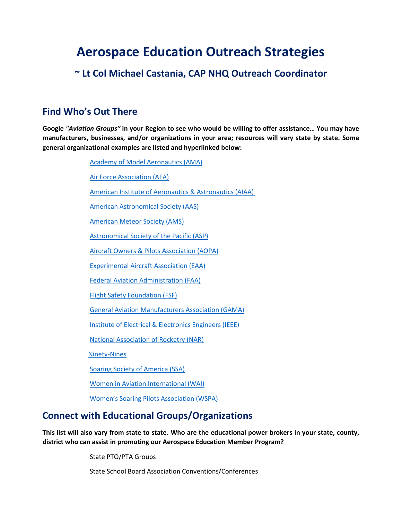# **Aerospace Education Outreach Strategies**

### **~ Lt Col Michael Castania, CAP NHQ Outreach Coordinator**

### **Find Who's Out There**

**Google** *"Aviation Groups"* **in your Region to see who would be willing to offer assistance… You may have manufacturers, businesses, and/or organizations in your area; resources will vary state by state. Some general organizational examples are listed and hyperlinked below:**

[Academy of Model Aeronautics \(AMA\)](http://www.modelaircraft.org/) [Air Force Association \(AFA\)](https://www.afa.org/home) [American Institute of Aeronautics & Astronautics \(AIAA\)](https://www.aiaa.org/)  [American Astronomical Society \(AAS\)](https://aas.org/)  [American Meteor Society \(AMS\)](https://www.amsmeteors.org/home.html) [Astronomical Society of the Pacific \(ASP\)](https://www.astrosociety.org/) [Aircraft Owners & Pilots Association \(AOPA\)](https://www.aopa.org/) [Experimental Aircraft Association \(EAA\)](https://www.eaa.org/eaa) [Federal Aviation Administration \(FAA\)](https://www.faa.gov/) [Flight Safety Foundation \(FSF\)](https://flightsafety.org/) [General Aviation Manufacturers Association \(GAMA\)](https://gama.aero/) [Institute of Electrical & Electronics Engineers \(IEEE\)](https://www.ieee.org/index.html) [National Association of Rocketry \(NAR\)](https://www.nar.org/) [Ninety-Nines](https://www.ninety-nines.org/) Soaring Society [of America \(SSA\)](http://www.ssa.org/) [Women in Aviation International \(WAI\)](https://www.wai.org/) [Women's Soaring Pilots Association \(WSPA\)](http://www.womensoaring.org/) **Connect with Educational Groups/Organizations**

**This list will also vary from state to state. Who are the educational power brokers in your state, county, district who can assist in promoting our Aerospace Education Member Program?**

State PTO/PTA Groups

State School Board Association Conventions/Conferences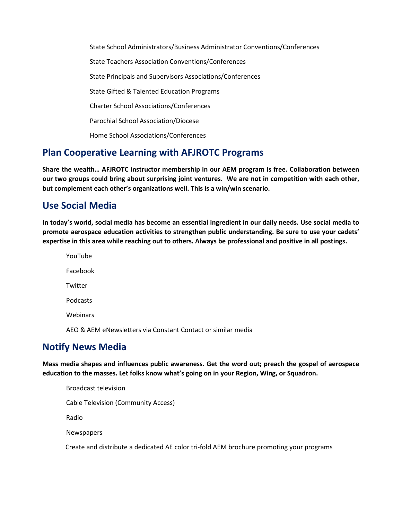State School Administrators/Business Administrator Conventions/Conferences State Teachers Association Conventions/Conferences State Principals and Supervisors Associations/Conferences State Gifted & Talented Education Programs Charter School Associations/Conferences Parochial School Association/Diocese Home School Associations/Conferences

### **Plan Cooperative Learning with AFJROTC Programs**

**Share the wealth… AFJROTC instructor membership in our AEM program is free. Collaboration between our two groups could bring about surprising joint ventures. We are not in competition with each other, but complement each other's organizations well. This is a win/win scenario.**

### **Use Social Media**

**In today's world, social media has become an essential ingredient in our daily needs. Use social media to promote aerospace education activities to strengthen public understanding. Be sure to use your cadets' expertise in this area while reaching out to others. Always be professional and positive in all postings.**

YouTube Facebook **Twitter** Podcasts Webinars AEO & AEM eNewsletters via Constant Contact or similar media

### **Notify News Media**

**Mass media shapes and influences public awareness. Get the word out; preach the gospel of aerospace education to the masses. Let folks know what's going on in your Region, Wing, or Squadron.**

| <b>Broadcast television</b>                                                              |
|------------------------------------------------------------------------------------------|
| Cable Television (Community Access)                                                      |
| Radio                                                                                    |
| <b>Newspapers</b>                                                                        |
| Create and distribute a dedicated AE color tri-fold AEM brochure promoting your programs |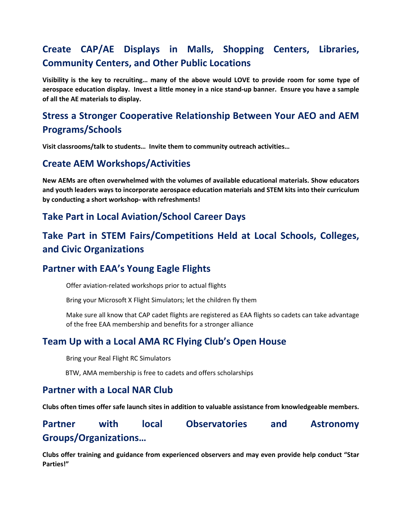## **Create CAP/AE Displays in Malls, Shopping Centers, Libraries, Community Centers, and Other Public Locations**

**Visibility is the key to recruiting… many of the above would LOVE to provide room for some type of aerospace education display. Invest a little money in a nice stand-up banner. Ensure you have a sample of all the AE materials to display.** 

## **Stress a Stronger Cooperative Relationship Between Your AEO and AEM Programs/Schools**

**Visit classrooms/talk to students… Invite them to community outreach activities…**

#### **Create AEM Workshops/Activities**

**New AEMs are often overwhelmed with the volumes of available educational materials. Show educators and youth leaders ways to incorporate aerospace education materials and STEM kits into their curriculum by conducting a short workshop- with refreshments!**

### **Take Part in Local Aviation/School Career Days**

## **Take Part in STEM Fairs/Competitions Held at Local Schools, Colleges, and Civic Organizations**

### **Partner with EAA's Young Eagle Flights**

Offer aviation-related workshops prior to actual flights

Bring your Microsoft X Flight Simulators; let the children fly them

Make sure all know that CAP cadet flights are registered as EAA flights so cadets can take advantage of the free EAA membership and benefits for a stronger alliance

### **Team Up with a Local AMA RC Flying Club's Open House**

Bring your Real Flight RC Simulators

BTW, AMA membership is free to cadets and offers scholarships

#### **Partner with a Local NAR Club**

**Clubs often times offer safe launch sites in addition to valuable assistance from knowledgeable members.**

### **Partner with local Observatories and Astronomy Groups/Organizations…**

**Clubs offer training and guidance from experienced observers and may even provide help conduct "Star Parties!"**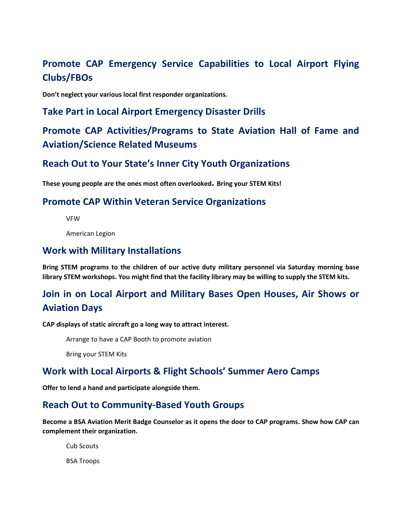## **Promote CAP Emergency Service Capabilities to Local Airport Flying Clubs/FBOs**

**Don't neglect your various local first responder organizations.**

#### **Take Part in Local Airport Emergency Disaster Drills**

### **Promote CAP Activities/Programs to State Aviation Hall of Fame and Aviation/Science Related Museums**

#### **Reach Out to Your State's Inner City Youth Organizations**

**These young people are the ones most often overlooked. Bring your STEM Kits!**

#### **Promote CAP Within Veteran Service Organizations**

VFW

American Legion

#### **Work with Military Installations**

**Bring STEM programs to the children of our active duty military personnel via Saturday morning base library STEM workshops. You might find that the facility library may be willing to supply the STEM kits.**

## **Join in on Local Airport and Military Bases Open Houses, Air Shows or Aviation Days**

**CAP displays of static aircraft go a long way to attract interest.** 

Arrange to have a CAP Booth to promote aviation

Bring your STEM Kits

### **Work with Local Airports & Flight Schools' Summer Aero Camps**

**Offer to lend a hand and participate alongside them.**

#### **Reach Out to Community-Based Youth Groups**

**Become a BSA Aviation Merit Badge Counselor as it opens the door to CAP programs. Show how CAP can complement their organization.** 

Cub Scouts BSA Troops